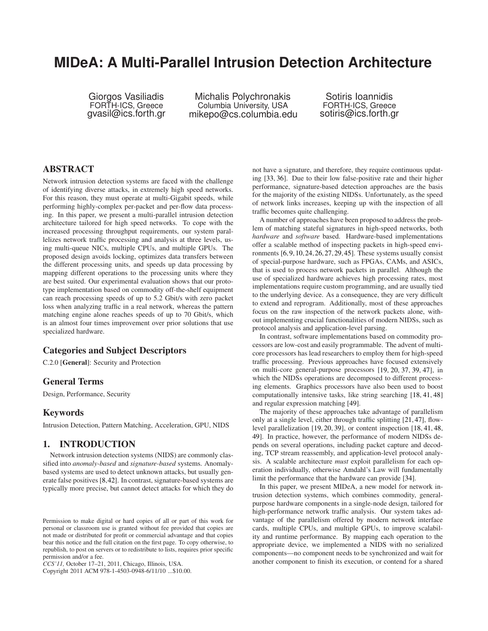# **MIDeA: A Multi-Parallel Intrusion Detection Architecture**

Giorgos Vasiliadis FORTH-ICS, Greece gvasil@ics.forth.gr

Michalis Polychronakis Columbia University, USA mikepo@cs.columbia.edu

Sotiris Ioannidis FORTH-ICS, Greece sotiris@ics.forth.gr

# **ABSTRACT**

Network intrusion detection systems are faced with the challenge of identifying diverse attacks, in extremely high speed networks. For this reason, they must operate at multi-Gigabit speeds, while performing highly-complex per-packet and per-flow data processing. In this paper, we present a multi-parallel intrusion detection architecture tailored for high speed networks. To cope with the increased processing throughput requirements, our system parallelizes network traffic processing and analysis at three levels, using multi-queue NICs, multiple CPUs, and multiple GPUs. The proposed design avoids locking, optimizes data transfers between the different processing units, and speeds up data processing by mapping different operations to the processing units where they are best suited. Our experimental evaluation shows that our prototype implementation based on commodity off-the-shelf equipment can reach processing speeds of up to 5.2 Gbit/s with zero packet loss when analyzing traffic in a real network, whereas the pattern matching engine alone reaches speeds of up to 70 Gbit/s, which is an almost four times improvement over prior solutions that use specialized hardware.

# **Categories and Subject Descriptors**

C.2.0 [**General**]: Security and Protection

## **General Terms**

Design, Performance, Security

## **Keywords**

Intrusion Detection, Pattern Matching, Acceleration, GPU, NIDS

## **1. INTRODUCTION**

Network intrusion detection systems (NIDS) are commonly classified into *anomaly-based* and *signature-based* systems. Anomalybased systems are used to detect unknown attacks, but usually generate false positives [\[8](#page-10-0)[,42\]](#page-11-0). In contrast, signature-based systems are typically more precise, but cannot detect attacks for which they do

Copyright 2011 ACM 978-1-4503-0948-6/11/10 ...\$10.00.

not have a signature, and therefore, they require continuous updating [\[33,](#page-11-1) [36\]](#page-11-2). Due to their low false-positive rate and their higher performance, signature-based detection approaches are the basis for the majority of the existing NIDSs. Unfortunately, as the speed of network links increases, keeping up with the inspection of all traffic becomes quite challenging.

A number of approaches have been proposed to address the problem of matching stateful signatures in high-speed networks, both *hardware* and *software* based. Hardware-based implementations offer a scalable method of inspecting packets in high-speed environments [\[6,](#page-10-1)[9,](#page-10-2)[10,](#page-10-3)[24,](#page-11-3)[26,](#page-11-4)[27,](#page-11-5)[29,](#page-11-6)[45\]](#page-11-7). These systems usually consist of special-purpose hardware, such as FPGAs, CAMs, and ASICs, that is used to process network packets in parallel. Although the use of specialized hardware achieves high processing rates, most implementations require custom programming, and are usually tied to the underlying device. As a consequence, they are very difficult to extend and reprogram. Additionally, most of these approaches focus on the raw inspection of the network packets alone, without implementing crucial functionalities of modern NIDSs, such as protocol analysis and application-level parsing.

In contrast, software implementations based on commodity processors are low-cost and easily programmable. The advent of multicore processors has lead researchers to employ them for high-speed traffic processing. Previous approaches have focused extensively on multi-core general-purpose processors [\[19,](#page-10-4) [20,](#page-10-5) [37,](#page-11-8) [39,](#page-11-9) [47\]](#page-11-10), in which the NIDSs operations are decomposed to different processing elements. Graphics processors have also been used to boost computationally intensive tasks, like string searching [\[18,](#page-10-6) [41,](#page-11-11) [48\]](#page-11-12) and regular expression matching [\[49\]](#page-11-13).

The majority of these approaches take advantage of parallelism only at a single level, either through traffic splitting [\[21,](#page-10-7) [47\]](#page-11-10), flowlevel parallelization [\[19,](#page-10-4) [20,](#page-10-5) [39\]](#page-11-9), or content inspection [\[18,](#page-10-6) [41,](#page-11-11) [48,](#page-11-12) [49\]](#page-11-13). In practice, however, the performance of modern NIDSs depends on several operations, including packet capture and decoding, TCP stream reassembly, and application-level protocol analysis. A scalable architecture *must* exploit parallelism for each operation individually, otherwise Amdahl's Law will fundamentally limit the performance that the hardware can provide [\[34\]](#page-11-14).

In this paper, we present MIDeA, a new model for network intrusion detection systems, which combines commodity, generalpurpose hardware components in a single-node design, tailored for high-performance network traffic analysis. Our system takes advantage of the parallelism offered by modern network interface cards, multiple CPUs, and multiple GPUs, to improve scalability and runtime performance. By mapping each operation to the appropriate device, we implemented a NIDS with no serialized components—no component needs to be synchronized and wait for another component to finish its execution, or contend for a shared

Permission to make digital or hard copies of all or part of this work for personal or classroom use is granted without fee provided that copies are not made or distributed for profit or commercial advantage and that copies bear this notice and the full citation on the first page. To copy otherwise, to republish, to post on servers or to redistribute to lists, requires prior specific permission and/or a fee.

*CCS'11,* October 17–21, 2011, Chicago, Illinois, USA.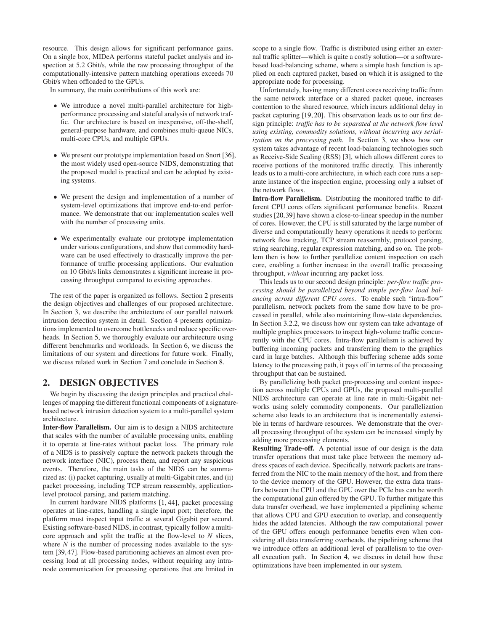resource. This design allows for significant performance gains. On a single box, MIDeA performs stateful packet analysis and inspection at 5.2 Gbit/s, while the raw processing throughput of the computationally-intensive pattern matching operations exceeds 70 Gbit/s when offloaded to the GPUs.

In summary, the main contributions of this work are:

- We introduce a novel multi-parallel architecture for highperformance processing and stateful analysis of network traffic. Our architecture is based on inexpensive, off-the-shelf, general-purpose hardware, and combines multi-queue NICs, multi-core CPUs, and multiple GPUs.
- We present our prototype implementation based on Snort [\[36\]](#page-11-2), the most widely used open-source NIDS, demonstrating that the proposed model is practical and can be adopted by existing systems.
- We present the design and implementation of a number of system-level optimizations that improve end-to-end performance. We demonstrate that our implementation scales well with the number of processing units.
- We experimentally evaluate our prototype implementation under various configurations, and show that commodity hardware can be used effectively to drastically improve the performance of traffic processing applications. Our evaluation on 10 Gbit/s links demonstrates a significant increase in processing throughput compared to existing approaches.

The rest of the paper is organized as follows. Section [2](#page-1-0) presents the design objectives and challenges of our proposed architecture. In Section [3,](#page-2-0) we describe the architecture of our parallel network intrusion detection system in detail. Section [4](#page-4-0) presents optimizations implemented to overcome bottlenecks and reduce specific overheads. In Section [5,](#page-5-0) we thoroughly evaluate our architecture using different benchmarks and workloads. In Section [6,](#page-8-0) we discuss the limitations of our system and directions for future work. Finally, we discuss related work in Section [7](#page-9-0) and conclude in Section [8.](#page-10-8)

## <span id="page-1-0"></span>**2. DESIGN OBJECTIVES**

We begin by discussing the design principles and practical challenges of mapping the different functional components of a signaturebased network intrusion detection system to a multi-parallel system architecture.

**Inter-flow Parallelism.** Our aim is to design a NIDS architecture that scales with the number of available processing units, enabling it to operate at line-rates without packet loss. The primary role of a NIDS is to passively capture the network packets through the network interface (NIC), process them, and report any suspicious events. Therefore, the main tasks of the NIDS can be summarized as: (i) packet capturing, usually at multi-Gigabit rates, and (ii) packet processing, including TCP stream reassembly, applicationlevel protocol parsing, and pattern matching.

In current hardware NIDS platforms [\[1,](#page-10-9) [44\]](#page-11-15), packet processing operates at line-rates, handling a single input port; therefore, the platform must inspect input traffic at several Gigabit per second. Existing software-based NIDS, in contrast, typically follow a multicore approach and split the traffic at the flow-level to *N* slices, where *N* is the number of processing nodes available to the system [\[39,](#page-11-9)[47\]](#page-11-10). Flow-based partitioning achieves an almost even processing load at all processing nodes, without requiring any intranode communication for processing operations that are limited in scope to a single flow. Traffic is distributed using either an external traffic splitter—which is quite a costly solution—or a softwarebased load-balancing scheme, where a simple hash function is applied on each captured packet, based on which it is assigned to the appropriate node for processing.

Unfortunately, having many different cores receiving traffic from the same network interface or a shared packet queue, increases contention to the shared resource, which incurs additional delay in packet capturing [\[19,](#page-10-4) [20\]](#page-10-5). This observation leads us to our first design principle: *traffic has to be separated at the network flow level using existing, commodity solutions, without incurring any serialization on the processing path*. In Section [3,](#page-2-0) we show how our system takes advantage of recent load-balancing technologies such as Receive-Side Scaling (RSS) [\[3\]](#page-10-10), which allows different cores to receive portions of the monitored traffic directly. This inherently leads us to a multi-core architecture, in which each core runs a separate instance of the inspection engine, processing only a subset of the network flows.

**Intra-flow Parallelism.** Distributing the monitored traffic to different CPU cores offers significant performance benefits. Recent studies [\[20,](#page-10-5)[39\]](#page-11-9) have shown a close-to-linear speedup in the number of cores. However, the CPU is still saturated by the large number of diverse and computationally heavy operations it needs to perform: network flow tracking, TCP stream reassembly, protocol parsing, string searching, regular expression matching, and so on. The problem then is how to further parallelize content inspection on each core, enabling a further increase in the overall traffic processing throughput, *without* incurring any packet loss.

This leads us to our second design principle: *per-flow traffic processing should be parallelized beyond simple per-flow load balancing across different CPU cores*. To enable such "intra-flow" parallelism, network packets from the same flow have to be processed in parallel, while also maintaining flow-state dependencies. In Section [3.2.2,](#page-3-0) we discuss how our system can take advantage of multiple graphics processors to inspect high-volume traffic concurrently with the CPU cores. Intra-flow parallelism is achieved by buffering incoming packets and transferring them to the graphics card in large batches. Although this buffering scheme adds some latency to the processing path, it pays off in terms of the processing throughput that can be sustained.

By parallelizing both packet pre-processing and content inspection across multiple CPUs and GPUs, the proposed multi-parallel NIDS architecture can operate at line rate in multi-Gigabit networks using solely commodity components. Our parallelization scheme also leads to an architecture that is incrementally extensible in terms of hardware resources. We demonstrate that the overall processing throughput of the system can be increased simply by adding more processing elements.

**Resulting Trade-off.** A potential issue of our design is the data transfer operations that must take place between the memory address spaces of each device. Specifically, network packets are transferred from the NIC to the main memory of the host, and from there to the device memory of the GPU. However, the extra data transfers between the CPU and the GPU over the PCIe bus can be worth the computational gain offered by the GPU. To further mitigate this data transfer overhead, we have implemented a pipelining scheme that allows CPU and GPU execution to overlap, and consequently hides the added latencies. Although the raw computational power of the GPU offers enough performance benefits even when considering all data transferring overheads, the pipelining scheme that we introduce offers an additional level of parallelism to the overall execution path. In Section [4,](#page-4-0) we discuss in detail how these optimizations have been implemented in our system.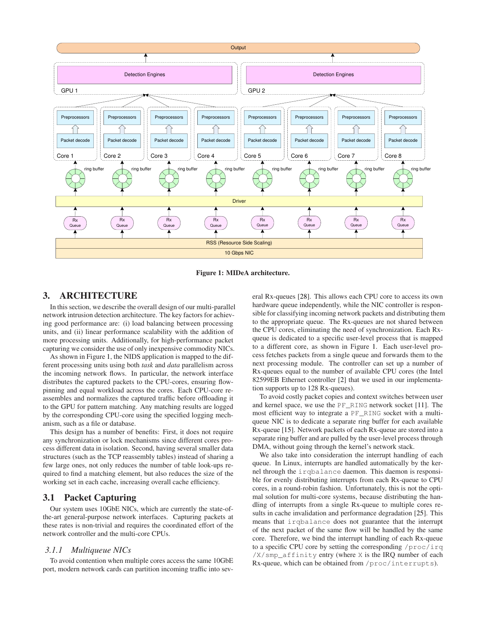

**Figure 1: MIDeA architecture.**

# <span id="page-2-0"></span>**3. ARCHITECTURE**

In this section, we describe the overall design of our multi-parallel network intrusion detection architecture. The key factors for achieving good performance are: (i) load balancing between processing units, and (ii) linear performance scalability with the addition of more processing units. Additionally, for high-performance packet capturing we consider the use of only inexpensive commodity NICs.

As shown in Figure [1,](#page-2-1) the NIDS application is mapped to the different processing units using both *task* and *data* parallelism across the incoming network flows. In particular, the network interface distributes the captured packets to the CPU-cores, ensuring flowpinning and equal workload across the cores. Each CPU-core reassembles and normalizes the captured traffic before offloading it to the GPU for pattern matching. Any matching results are logged by the corresponding CPU-core using the specified logging mechanism, such as a file or database.

This design has a number of benefits: First, it does not require any synchronization or lock mechanisms since different cores process different data in isolation. Second, having several smaller data structures (such as the TCP reassembly tables) instead of sharing a few large ones, not only reduces the number of table look-ups required to find a matching element, but also reduces the size of the working set in each cache, increasing overall cache efficiency.

## **3.1 Packet Capturing**

Our system uses 10GbE NICs, which are currently the state-ofthe-art general-purpose network interfaces. Capturing packets at these rates is non-trivial and requires the coordinated effort of the network controller and the multi-core CPUs.

#### *3.1.1 Multiqueue NICs*

To avoid contention when multiple cores access the same 10GbE port, modern network cards can partition incoming traffic into sev<span id="page-2-1"></span>eral Rx-queues [\[28\]](#page-11-16). This allows each CPU core to access its own hardware queue independently, while the NIC controller is responsible for classifying incoming network packets and distributing them to the appropriate queue. The Rx-queues are not shared between the CPU cores, eliminating the need of synchronization. Each Rxqueue is dedicated to a specific user-level process that is mapped to a different core, as shown in Figure [1.](#page-2-1) Each user-level process fetches packets from a single queue and forwards them to the next processing module. The controller can set up a number of Rx-queues equal to the number of available CPU cores (the Intel 82599EB Ethernet controller [\[2\]](#page-10-11) that we used in our implementation supports up to 128 Rx-queues).

To avoid costly packet copies and context switches between user and kernel space, we use the PF\_RING network socket [\[11\]](#page-10-12). The most efficient way to integrate a PF\_RING socket with a multiqueue NIC is to dedicate a separate ring buffer for each available Rx-queue [\[15\]](#page-10-13). Network packets of each Rx-queue are stored into a separate ring buffer and are pulled by the user-level process through DMA, without going through the kernel's network stack.

We also take into consideration the interrupt handling of each queue. In Linux, interrupts are handled automatically by the kernel through the irqbalance daemon. This daemon is responsible for evenly distributing interrupts from each Rx-queue to CPU cores, in a round-robin fashion. Unfortunately, this is not the optimal solution for multi-core systems, because distributing the handling of interrupts from a single Rx-queue to multiple cores results in cache invalidation and performance degradation [\[25\]](#page-11-17). This means that irqbalance does not guarantee that the interrupt of the next packet of the same flow will be handled by the same core. Therefore, we bind the interrupt handling of each Rx-queue to a specific CPU core by setting the corresponding /proc/irq /X/smp\_affinity entry (where X is the IRQ number of each Rx-queue, which can be obtained from /proc/interrupts).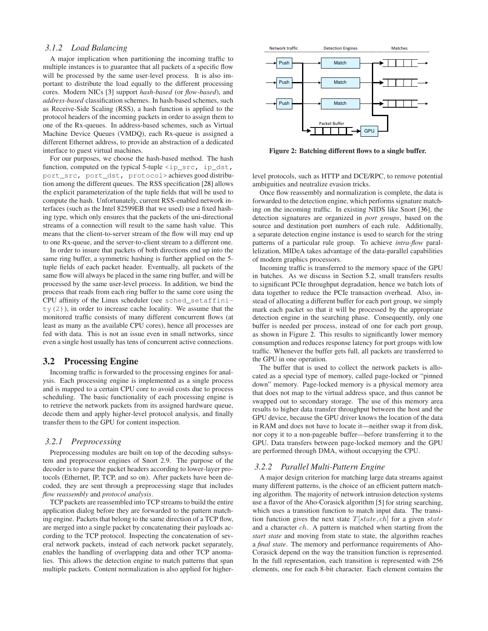#### <span id="page-3-2"></span>*3.1.2 Load Balancing*

A major implication when partitioning the incoming traffic to multiple instances is to guarantee that all packets of a specific flow will be processed by the same user-level process. It is also important to distribute the load equally to the different processing cores. Modern NICs [\[3\]](#page-10-10) support *hash-based* (or *flow-based*), and *address-based* classification schemes. In hash-based schemes, such as Receive-Side Scaling (RSS), a hash function is applied to the protocol headers of the incoming packets in order to assign them to one of the Rx-queues. In address-based schemes, such as Virtual Machine Device Queues (VMDQ), each Rx-queue is assigned a different Ethernet address, to provide an abstraction of a dedicated interface to guest virtual machines.

For our purposes, we choose the hash-based method. The hash function, computed on the typical 5-tuple <ip\_src, ip\_dst, port\_src, port\_dst, protocol> achieves good distribution among the different queues. The RSS specification [\[28\]](#page-11-16) allows the explicit parameterization of the tuple fields that will be used to compute the hash. Unfortunately, current RSS-enabled network interfaces (such as the Intel 82599EB that we used) use a fixed hashing type, which only ensures that the packets of the uni-directional streams of a connection will result to the same hash value. This means that the client-to-server stream of the flow will may end up to one Rx-queue, and the server-to-client stream to a different one.

In order to insure that packets of both directions end up into the same ring buffer, a symmetric hashing is further applied on the 5 tuple fields of each packet header. Eventually, all packets of the same flow will always be placed in the same ring buffer, and will be processed by the same user-level process. In addition, we bind the process that reads from each ring buffer to the same core using the CPU affinity of the Linux scheduler (see sched\_setaffini $ty(2)$ ), in order to increase cache locality. We assume that the monitored traffic consists of many different concurrent flows (at least as many as the available CPU cores), hence all processes are fed with data. This is not an issue even in small networks, since even a single host usually has tens of concurrent active connections.

## **3.2 Processing Engine**

Incoming traffic is forwarded to the processing engines for analysis. Each processing engine is implemented as a single process and is mapped to a certain CPU core to avoid costs due to process scheduling. The basic functionality of each processing engine is to retrieve the network packets from its assigned hardware queue, decode them and apply higher-level protocol analysis, and finally transfer them to the GPU for content inspection.

#### <span id="page-3-3"></span>*3.2.1 Preprocessing*

Preprocessing modules are built on top of the decoding subsystem and preprocessor engines of Snort 2.9. The purpose of the decoder is to parse the packet headers according to lower-layer protocols (Ethernet, IP, TCP, and so on). After packets have been decoded, they are sent through a preprocessing stage that includes *flow reassembly* and *protocol analysis*.

TCP packets are reassembled into TCP streams to build the entire application dialog before they are forwarded to the pattern matching engine. Packets that belong to the same direction of a TCP flow, are merged into a single packet by concatenating their payloads according to the TCP protocol. Inspecting the concatenation of several network packets, instead of each network packet separately, enables the handling of overlapping data and other TCP anomalies. This allows the detection engine to match patterns that span multiple packets. Content normalization is also applied for higher-



<span id="page-3-1"></span>**Figure 2: Batching different flows to a single buffer.**

level protocols, such as HTTP and DCE/RPC, to remove potential ambiguities and neutralize evasion tricks.

Once flow reassembly and normalization is complete, the data is forwarded to the detection engine, which performs signature matching on the incoming traffic. In existing NIDS like Snort [\[36\]](#page-11-2), the detection signatures are organized in *port groups*, based on the source and destination port numbers of each rule. Additionally, a separate detection engine instance is used to search for the string patterns of a particular rule group. To achieve *intra-flow* parallelization, MIDeA takes advantage of the data-parallel capabilities of modern graphics processors.

Incoming traffic is transferred to the memory space of the GPU in batches. As we discuss in Section [5.2,](#page-5-1) small transfers results to significant PCIe throughput degradation, hence we batch lots of data together to reduce the PCIe transaction overhead. Also, instead of allocating a different buffer for each port group, we simply mark each packet so that it will be processed by the appropriate detection engine in the searching phase. Consequently, only one buffer is needed per process, instead of one for each port group, as shown in Figure [2.](#page-3-1) This results to significantly lower memory consumption and reduces response latency for port groups with low traffic. Whenever the buffer gets full, all packets are transferred to the GPU in one operation.

The buffer that is used to collect the network packets is allocated as a special type of memory, called page-locked or "pinned down" memory. Page-locked memory is a physical memory area that does not map to the virtual address space, and thus cannot be swapped out to secondary storage. The use of this memory area results to higher data transfer throughput between the host and the GPU device, because the GPU driver knows the location of the data in RAM and does not have to locate it—neither swap it from disk, nor copy it to a non-pageable buffer—before transferring it to the GPU. Data transfers between page-locked memory and the GPU are performed through DMA, without occupying the CPU.

#### <span id="page-3-0"></span>*3.2.2 Parallel Multi-Pattern Engine*

A major design criterion for matching large data streams against many different patterns, is the choice of an efficient pattern matching algorithm. The majority of network intrusion detection systems use a flavor of the Aho-Corasick algorithm [\[5\]](#page-10-14) for string searching, which uses a transition function to match input data. The transition function gives the next state  $T[state, ch]$  for a given state and a character ch. A pattern is matched when starting from the *start state* and moving from state to state, the algorithm reaches a *final state*. The memory and performance requirements of Aho-Corasick depend on the way the transition function is represented. In the full representation, each transition is represented with 256 elements, one for each 8-bit character. Each element contains the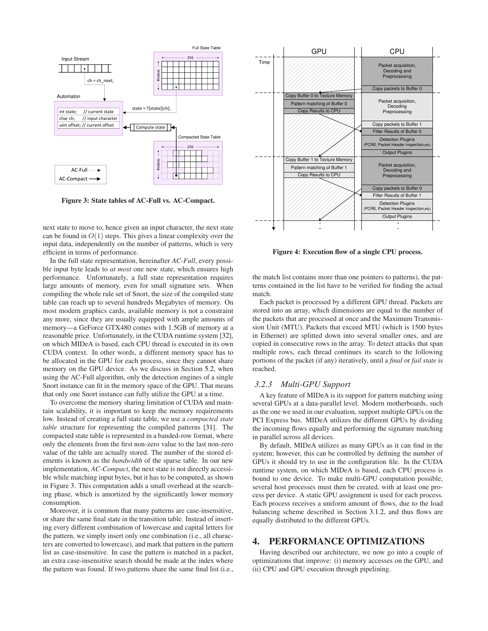

<span id="page-4-1"></span>**Figure 3: State tables of AC-Full vs. AC-Compact.**

next state to move to, hence given an input character, the next state can be found in  $O(1)$  steps. This gives a linear complexity over the input data, independently on the number of patterns, which is very efficient in terms of performance.

In the full state representation, hereinafter *AC-Full*, every possible input byte leads to *at most* one new state, which ensures high performance. Unfortunately, a full state representation requires large amounts of memory, even for small signature sets. When compiling the whole rule set of Snort, the size of the compiled state table can reach up to several hundreds Megabytes of memory. On most modern graphics cards, available memory is not a constraint any more, since they are usually equipped with ample amounts of memory—a GeForce GTX480 comes with 1.5GB of memory at a reasonable price. Unfortunately, in the CUDA runtime system [\[32\]](#page-11-18), on which MIDeA is based, each CPU thread is executed in its own CUDA context. In other words, a different memory space has to be allocated in the GPU for each process, since they cannot share memory on the GPU device. As we discuss in Section [5.2,](#page-5-1) when using the AC-Full algorithm, only the detection engines of a single Snort instance can fit in the memory space of the GPU. That means that only one Snort instance can fully utilize the GPU at a time.

To overcome the memory sharing limitation of CUDA and maintain scalability, it is important to keep the memory requirements low. Instead of creating a full state table, we use a *compacted state table* structure for representing the compiled patterns [\[31\]](#page-11-19). The compacted state table is represented in a banded-row format, where only the elements from the first non-zero value to the last non-zero value of the table are actually stored. The number of the stored elements is known as the *bandwidth* of the sparse table. In our new implementation, *AC-Compact*, the next state is not directly accessible while matching input bytes, but it has to be computed, as shown in Figure [3.](#page-4-1) This computation adds a small overhead at the searching phase, which is amortized by the significantly lower memory consumption.

Moreover, it is common that many patterns are case-insensitive, or share the same final state in the transition table. Instead of inserting every different combination of lowercase and capital letters for the pattern, we simply insert only one combination (i.e., all characters are converted to lowercase), and mark that pattern in the pattern list as case-insensitive. In case the pattern is matched in a packet, an extra case-insensitive search should be made at the index where the pattern was found. If two patterns share the same final list (i.e.,



<span id="page-4-2"></span>**Figure 4: Execution flow of a single CPU process.**

the match list contains more than one pointers to patterns), the patterns contained in the list have to be verified for finding the actual match.

Each packet is processed by a different GPU thread. Packets are stored into an array, which dimensions are equal to the number of the packets that are processed at once and the Maximum Transmission Unit (MTU). Packets that exceed MTU (which is 1500 bytes in Ethernet) are splitted down into several smaller ones, and are copied in consecutive rows in the array. To detect attacks that span multiple rows, each thread continues its search to the following portions of the packet (if any) iteratively, until a *final* or *fail state* is reached.

#### *3.2.3 Multi-GPU Support*

A key feature of MIDeA is its support for pattern matching using several GPUs at a data-parallel level. Modern motherboards, such as the one we used in our evaluation, support multiple GPUs on the PCI Express bus. MIDeA utilizes the different GPUs by dividing the incoming flows equally and performing the signature matching in parallel across all devices.

By default, MIDeA utilizes as many GPUs as it can find in the system; however, this can be controlled by defining the number of GPUs it should try to use in the configuration file. In the CUDA runtime system, on which MIDeA is based, each CPU process is bound to one device. To make multi-GPU computation possible, several host processes must then be created, with at least one process per device. A static GPU assignment is used for each process. Each process receives a uniform amount of flows, due to the load balancing scheme described in Section [3.1.2,](#page-3-2) and thus flows are equally distributed to the different GPUs.

## <span id="page-4-0"></span>**4. PERFORMANCE OPTIMIZATIONS**

Having described our architecture, we now go into a couple of optimizations that improve: (i) memory accesses on the GPU, and (ii) CPU and GPU execution through pipelining.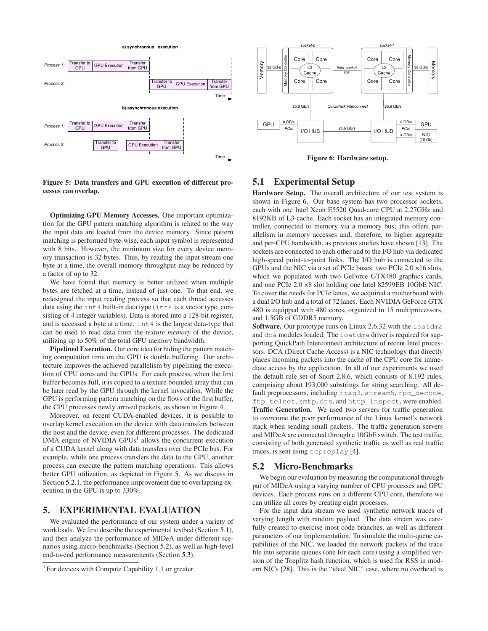

<span id="page-5-3"></span>**Figure 5: Data transfers and GPU execution of different processes can overlap.**

**Optimizing GPU Memory Accesses.** One important optimization for the GPU pattern matching algorithm is related to the way the input data are loaded from the device memory. Since pattern matching is performed byte-wise, each input symbol is represented with 8 bits. However, the minimum size for every device memory transaction is 32 bytes. Thus, by reading the input stream one byte at a time, the overall memory throughput may be reduced by a factor of up to 32.

We have found that memory is better utilized when multiple bytes are fetched at a time, instead of just one. To that end, we redesigned the input reading process so that each thread accesses data using the  $int 4$  built-in data type (int 4 is a vector type, consisting of 4 integer variables). Data is stored into a 128-bit register, and is accessed a byte at a time.  $Int4$  is the largest data-type that can be used to read data from the *texture memory* of the device, utilizing up to 50% of the total GPU memory bandwidth.

**Pipelined Execution.** Our core idea for hiding the pattern matching computation time on the GPU is double buffering. Our architecture improves the achieved parallelism by pipelining the execution of CPU cores and the GPUs. For each process, when the first buffer becomes full, it is copied to a texture bounded array that can be later read by the GPU through the kernel invocation. While the GPU is performing pattern matching on the flows of the first buffer, the CPU processes newly arrived packets, as shown in Figure [4.](#page-4-2)

Moreover, on recent CUDA-enabled devices, it is possible to overlap kernel execution on the device with data transfers between the host and the device, even for different processes. The dedicated  $DMA$  engine of NVIDIA  $GPUs<sup>1</sup>$  $GPUs<sup>1</sup>$  $GPUs<sup>1</sup>$  allows the concurrent execution of a CUDA kernel along with data transfers over the PCIe bus. For example, while one process transfers the data to the GPU, another process can execute the pattern matching operations. This allows better GPU utilization, as depicted in Figure [5.](#page-5-3) As we discuss in Section [5.2.1,](#page-6-0) the performance improvement due to overlapping execution in the GPU is up to 330%.

#### <span id="page-5-0"></span>**5. EXPERIMENTAL EVALUATION**

We evaluated the performance of our system under a variety of workloads. We first describe the experimental testbed (Section [5.1\)](#page-5-4), and then analyze the performance of MIDeA under different scenarios using micro-benchmarks (Section [5.2\)](#page-5-1), as well as high-level end-to-end performance measurements (Section [5.3\)](#page-8-1).



<span id="page-5-5"></span>**Figure 6: Hardware setup.**

## <span id="page-5-4"></span>**5.1 Experimental Setup**

**Hardware Setup.** The overall architecture of our test system is shown in Figure [6.](#page-5-5) Our base system has two processor sockets, each with one Intel Xeon E5520 Quad-core CPU at 2.27GHz and 8192KB of L3-cache. Each socket has an integrated memory controller, connected to memory via a memory bus; this offers parallelism in memory accesses and, therefore, to higher aggregate and per-CPU bandwidth, as previous studies have shown [\[13\]](#page-10-15). The sockets are connected to each other and to the I/O hub via dedicated high-speed point-to-point links. The I/O hub is connected to the GPUs and the NIC via a set of PCIe buses: two PCIe 2.0 ×16 slots, which we populated with two GeForce GTX480 graphics cards, and one PCIe 2.0 ×8 slot holding one Intel 82599EB 10GbE NIC. To cover the needs for PCIe lanes, we acquired a motherboard with a dual I/O hub and a total of 72 lanes. Each NVIDIA GeForce GTX 480 is equipped with 480 cores, organized in 15 multiprocessors, and 1.5GB of GDDR5 memory.

**Software.** Our prototype runs on Linux 2.6.32 with the ioatdma and dca modules loaded. The ioatdma driver is required for supporting QuickPath Interconnect architecture of recent Intel processors. DCA (Direct Cache Access) is a NIC technology that directly places incoming packets into the cache of the CPU core for immediate access by the application. In all of our experiments we used the default rule set of Snort 2.8.6, which consists of 8,192 rules, comprising about 193,000 substrings for string searching. All default preprocessors, including frag3, stream5, rpc\_decode, ftp\_telnet, smtp, dns, and http\_inspect, were enabled. **Traffic Generation.** We used two servers for traffic generation to overcome the poor performance of the Linux kernel's network stack when sending small packets. The traffic generation servers and MIDeA are connected through a 10GbE switch. The test traffic, consisting of both generated synthetic traffic as well as real traffic traces, is sent using tcpreplay [\[4\]](#page-10-16).

#### <span id="page-5-1"></span>**5.2 Micro-Benchmarks**

We begin our evaluation by measuring the computational throughput of MIDeA using a varying number of CPU processes and GPU devices. Each process runs on a different CPU core, therefore we can utilize all cores by creating eight processes.

For the input data stream we used synthetic network traces of varying length with random payload. The data stream was carefully created to exercise most code branches, as well as different parameters of our implementation. To simulate the multi-queue capabilities of the NIC, we loaded the network packets of the trace file into separate queues (one for each core) using a simplified version of the Toeplitz hash function, which is used for RSS in modern NICs [\[28\]](#page-11-16). This is the "ideal NIC" case, where no overhead is

<span id="page-5-2"></span><sup>&</sup>lt;sup>1</sup> For devices with Compute Capability 1.1 or greater.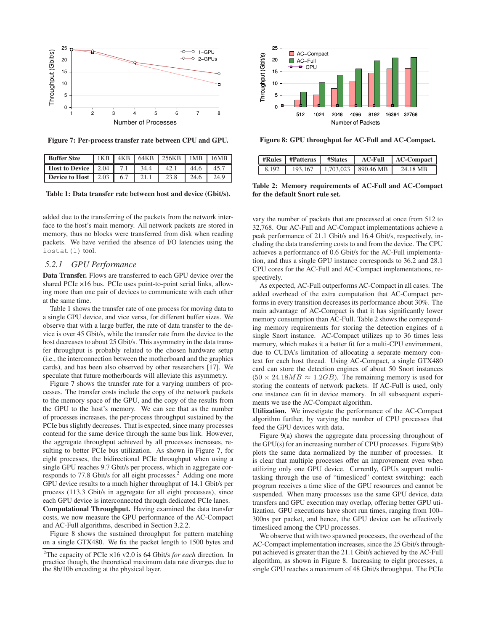

<span id="page-6-2"></span>**Figure 7: Per-process transfer rate between CPU and GPU.**

| <b>Buffer Size</b>             |  |      | 1KB   4KB   64KB   256KB   1MB   16MB |      |      |
|--------------------------------|--|------|---------------------------------------|------|------|
| <b>Host to Device</b> 2.04 7.1 |  | 34.4 | 42.1                                  | 44.6 | 45.7 |
| <b>Device to Host</b> 2.03 6.7 |  | 21.1 | 23.8                                  | 24.6 | 24.9 |

<span id="page-6-1"></span>**Table 1: Data transfer rate between host and device (Gbit/s).**

added due to the transferring of the packets from the network interface to the host's main memory. All network packets are stored in memory, thus no blocks were transferred from disk when reading packets. We have verified the absence of I/O latencies using the iostat(1) tool.

#### <span id="page-6-0"></span>*5.2.1 GPU Performance*

**Data Transfer.** Flows are transferred to each GPU device over the shared PCIe ×16 bus. PCIe uses point-to-point serial links, allowing more than one pair of devices to communicate with each other at the same time.

Table [1](#page-6-1) shows the transfer rate of one process for moving data to a single GPU device, and vice versa, for different buffer sizes. We observe that with a large buffer, the rate of data transfer to the device is over 45 Gbit/s, while the transfer rate from the device to the host decreases to about 25 Gbit/s. This asymmetry in the data transfer throughput is probably related to the chosen hardware setup (i.e., the interconnection between the motherboard and the graphics cards), and has been also observed by other researchers [\[17\]](#page-10-17). We speculate that future motherboards will alleviate this asymmetry.

Figure [7](#page-6-2) shows the transfer rate for a varying numbers of processes. The transfer costs include the copy of the network packets to the memory space of the GPU, and the copy of the results from the GPU to the host's memory. We can see that as the number of processes increases, the per-process throughput sustained by the PCIe bus slightly decreases. That is expected, since many processes contend for the same device through the same bus link. However, the aggregate throughput achieved by all processes increases, resulting to better PCIe bus utilization. As shown in Figure [7,](#page-6-2) for eight processes, the bidirectional PCIe throughput when using a single GPU reaches 9.7 Gbit/s per process, which in aggregate cor-responds to 77.8 Gbit/s for all eight processes.<sup>[2](#page-6-3)</sup> Adding one more GPU device results to a much higher throughput of 14.1 Gbit/s per process (113.3 Gbit/s in aggregate for all eight processes), since each GPU device is interconnected through dedicated PCIe lanes.

**Computational Throughput.** Having examined the data transfer costs, we now measure the GPU performance of the AC-Compact and AC-Full algorithms, described in Section [3.2.2.](#page-3-0)

Figure [8](#page-6-4) shows the sustained throughput for pattern matching on a single GTX480. We fix the packet length to 1500 bytes and



<span id="page-6-4"></span>**Figure 8: GPU throughput for AC-Full and AC-Compact.**

|       | $\#Rules$   #Patterns | #States | <b>AC-Full</b>          | AC-Compact |
|-------|-----------------------|---------|-------------------------|------------|
| 8.192 | 193,167               |         | $1,703,023$   890.46 MB | 24.18 MB   |

<span id="page-6-5"></span>**Table 2: Memory requirements of AC-Full and AC-Compact for the default Snort rule set.**

vary the number of packets that are processed at once from 512 to 32,768. Our AC-Full and AC-Compact implementations achieve a peak performance of 21.1 Gbit/s and 16.4 Gbit/s, respectively, including the data transferring costs to and from the device. The CPU achieves a performance of 0.6 Gbit/s for the AC-Full implementation, and thus a single GPU instance corresponds to 36.2 and 28.1 CPU cores for the AC-Full and AC-Compact implementations, respectively.

As expected, AC-Full outperforms AC-Compact in all cases. The added overhead of the extra computation that AC-Compact performs in every transition decreases its performance about 30%. The main advantage of AC-Compact is that it has significantly lower memory consumption than AC-Full. Table [2](#page-6-5) shows the corresponding memory requirements for storing the detection engines of a single Snort instance. AC-Compact utilizes up to 36 times less memory, which makes it a better fit for a multi-CPU environment, due to CUDA's limitation of allocating a separate memory context for each host thread. Using AC-Compact, a single GTX480 card can store the detection engines of about 50 Snort instances  $(50 \times 24.18MB \approx 1.2GB)$ . The remaining memory is used for storing the contents of network packets. If AC-Full is used, only one instance can fit in device memory. In all subsequent experiments we use the AC-Compact algorithm.

**Utilization.** We investigate the performance of the AC-Compact algorithm further, by varying the number of CPU processes that feed the GPU devices with data.

Figure [9\(a\)](#page-7-0) shows the aggregate data processing throughout of the GPU(s) for an increasing number of CPU processes. Figure [9\(b\)](#page-7-1) plots the same data normalized by the number of processes. It is clear that multiple processes offer an improvement even when utilizing only one GPU device. Currently, GPUs support multitasking through the use of "timesliced" context switching: each program receives a time slice of the GPU resources and cannot be suspended. When many processes use the same GPU device, data transfers and GPU execution may overlap, offering better GPU utilization. GPU executions have short run times, ranging from 100– 300ns per packet, and hence, the GPU device can be effectively timesliced among the CPU processes.

We observe that with two spawned processes, the overhead of the AC-Compact implementation increases, since the 25 Gbit/s throughput achieved is greater than the 21.1 Gbit/s achieved by the AC-Full algorithm, as shown in Figure [8.](#page-6-4) Increasing to eight processes, a single GPU reaches a maximum of 48 Gbit/s throughput. The PCIe

<span id="page-6-3"></span><sup>2</sup>The capacity of PCIe ×16 v2.0 is 64 Gbit/s *for each* direction. In practice though, the theoretical maximum data rate diverges due to the 8b/10b encoding at the physical layer.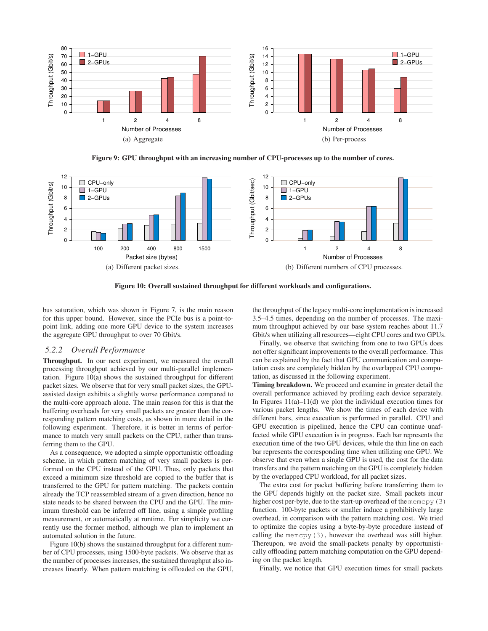<span id="page-7-0"></span>

<span id="page-7-1"></span>**Figure 9: GPU throughput with an increasing number of CPU-processes up to the number of cores.**

<span id="page-7-2"></span>

**Figure 10: Overall sustained throughput for different workloads and configurations.**

bus saturation, which was shown in Figure [7,](#page-6-2) is the main reason for this upper bound. However, since the PCIe bus is a point-topoint link, adding one more GPU device to the system increases the aggregate GPU throughput to over 70 Gbit/s.

#### *5.2.2 Overall Performance*

**Throughput.** In our next experiment, we measured the overall processing throughput achieved by our multi-parallel implementation. Figure [10\(a\)](#page-7-2) shows the sustained throughput for different packet sizes. We observe that for very small packet sizes, the GPUassisted design exhibits a slightly worse performance compared to the multi-core approach alone. The main reason for this is that the buffering overheads for very small packets are greater than the corresponding pattern matching costs, as shown in more detail in the following experiment. Therefore, it is better in terms of performance to match very small packets on the CPU, rather than transferring them to the GPU.

As a consequence, we adopted a simple opportunistic offloading scheme, in which pattern matching of very small packets is performed on the CPU instead of the GPU. Thus, only packets that exceed a minimum size threshold are copied to the buffer that is transferred to the GPU for pattern matching. The packets contain already the TCP reassembled stream of a given direction, hence no state needs to be shared between the CPU and the GPU. The minimum threshold can be inferred off line, using a simple profiling measurement, or automatically at runtime. For simplicity we currently use the former method, although we plan to implement an automated solution in the future.

Figure [10\(b\)](#page-7-3) shows the sustained throughput for a different number of CPU processes, using 1500-byte packets. We observe that as the number of processes increases, the sustained throughput also increases linearly. When pattern matching is offloaded on the GPU, <span id="page-7-3"></span>the throughput of the legacy multi-core implementation is increased 3.5–4.5 times, depending on the number of processes. The maximum throughput achieved by our base system reaches about 11.7 Gbit/s when utilizing all resources—eight CPU cores and two GPUs.

Finally, we observe that switching from one to two GPUs does not offer significant improvements to the overall performance. This can be explained by the fact that GPU communication and computation costs are completely hidden by the overlapped CPU computation, as discussed in the following experiment.

**Timing breakdown.** We proceed and examine in greater detail the overall performance achieved by profiling each device separately. In Figures  $11(a)-11(d)$  $11(a)-11(d)$  we plot the individual execution times for various packet lengths. We show the times of each device with different bars, since execution is performed in parallel. CPU and GPU execution is pipelined, hence the CPU can continue unaffected while GPU execution is in progress. Each bar represents the execution time of the two GPU devices, while the thin line on each bar represents the corresponding time when utilizing one GPU. We observe that even when a single GPU is used, the cost for the data transfers and the pattern matching on the GPU is completely hidden by the overlapped CPU workload, for all packet sizes.

The extra cost for packet buffering before transferring them to the GPU depends highly on the packet size. Small packets incur higher cost per-byte, due to the start-up overhead of the memcpy(3) function. 100-byte packets or smaller induce a prohibitively large overhead, in comparison with the pattern matching cost. We tried to optimize the copies using a byte-by-byte procedure instead of calling the memcpy(3), however the overhead was still higher. Thereupon, we avoid the small-packets penalty by opportunistically offloading pattern matching computation on the GPU depending on the packet length.

Finally, we notice that GPU execution times for small packets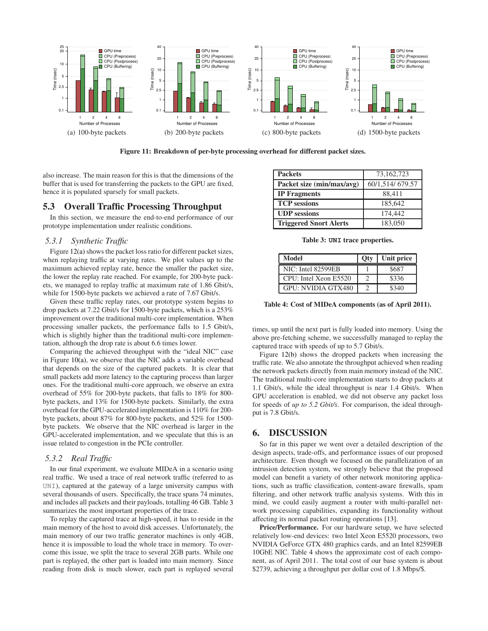<span id="page-8-2"></span>

**Figure 11: Breakdown of per-byte processing overhead for different packet sizes.**

also increase. The main reason for this is that the dimensions of the buffer that is used for transferring the packets to the GPU are fixed, hence it is populated sparsely for small packets.

## <span id="page-8-1"></span>**5.3 Overall Traffic Processing Throughput**

In this section, we measure the end-to-end performance of our prototype implementation under realistic conditions.

#### *5.3.1 Synthetic Traffic*

Figure [12\(a\)](#page-9-1) shows the packet loss ratio for different packet sizes, when replaying traffic at varying rates. We plot values up to the maximum achieved replay rate, hence the smaller the packet size, the lower the replay rate reached. For example, for 200-byte packets, we managed to replay traffic at maximum rate of 1.86 Gbit/s, while for 1500-byte packets we achieved a rate of 7.67 Gbit/s.

Given these traffic replay rates, our prototype system begins to drop packets at 7.22 Gbit/s for 1500-byte packets, which is a 253% improvement over the traditional multi-core implementation. When processing smaller packets, the performance falls to 1.5 Gbit/s, which is slightly higher than the traditional multi-core implementation, although the drop rate is about 6.6 times lower.

Comparing the achieved throughput with the "ideal NIC" case in Figure [10\(a\),](#page-7-2) we observe that the NIC adds a variable overhead that depends on the size of the captured packets. It is clear that small packets add more latency to the capturing process than larger ones. For the traditional multi-core approach, we observe an extra overhead of 55% for 200-byte packets, that falls to 18% for 800 byte packets, and 13% for 1500-byte packets. Similarly, the extra overhead for the GPU-accelerated implementation is 110% for 200 byte packets, about 87% for 800-byte packets, and 52% for 1500 byte packets. We observe that the NIC overhead is larger in the GPU-accelerated implementation, and we speculate that this is an issue related to congestion in the PCIe controller.

#### *5.3.2 Real Traffic*

In our final experiment, we evaluate MIDeA in a scenario using real traffic. We used a trace of real network traffic (referred to as UNI), captured at the gateway of a large university campus with several thousands of users. Specifically, the trace spans 74 minutes, and includes all packets and their payloads, totalling 46 GB. Table [3](#page-8-4) summarizes the most important properties of the trace.

To replay the captured trace at high-speed, it has to reside in the main memory of the host to avoid disk accesses. Unfortunately, the main memory of our two traffic generator machines is only 4GB, hence it is impossible to load the whole trace in memory. To overcome this issue, we split the trace to several 2GB parts. While one part is replayed, the other part is loaded into main memory. Since reading from disk is much slower, each part is replayed several

<span id="page-8-3"></span>

| <b>Packets</b>                | 73, 162, 723    |
|-------------------------------|-----------------|
| Packet size (min/max/avg)     | 60/1,514/679.57 |
| <b>IP</b> Fragments           | 88,411          |
| <b>TCP</b> sessions           | 185,642         |
| <b>UDP</b> sessions           | 174,442         |
| <b>Triggered Snort Alerts</b> | 183,050         |

<span id="page-8-4"></span>**Table 3: UNI trace properties.**

| Model                     | Otv | Unit price |
|---------------------------|-----|------------|
| NIC: Intel 82599EB        |     | \$687      |
| CPU: Intel Xeon E5520     |     | \$336      |
| <b>GPU: NVIDIA GTX480</b> |     | \$340      |

<span id="page-8-5"></span>**Table 4: Cost of MIDeA components (as of April 2011).**

times, up until the next part is fully loaded into memory. Using the above pre-fetching scheme, we successfully managed to replay the captured trace with speeds of up to 5.7 Gbit/s.

Figure [12\(b\)](#page-9-2) shows the dropped packets when increasing the traffic rate. We also annotate the throughput achieved when reading the network packets directly from main memory instead of the NIC. The traditional multi-core implementation starts to drop packets at 1.1 Gbit/s, while the ideal throughput is near 1.4 Gbit/s. When GPU acceleration is enabled, we did not observe any packet loss for speeds of *up to 5.2 Gbit/s*. For comparison, the ideal throughput is 7.8 Gbit/s.

## <span id="page-8-0"></span>**6. DISCUSSION**

So far in this paper we went over a detailed description of the design aspects, trade-offs, and performance issues of our proposed architecture. Even though we focused on the parallelization of an intrusion detection system, we strongly believe that the proposed model can benefit a variety of other network monitoring applications, such as traffic classification, content-aware firewalls, spam filtering, and other network traffic analysis systems. With this in mind, we could easily augment a router with multi-parallel network processing capabilities, expanding its functionality without affecting its normal packet routing operations [\[13\]](#page-10-15).

**Price/Performance.** For our hardware setup, we have selected relatively low-end devices: two Intel Xeon E5520 processors, two NVIDIA GeForce GTX 480 graphics cards, and an Intel 82599EB 10GbE NIC. Table [4](#page-8-5) shows the approximate cost of each component, as of April 2011. The total cost of our base system is about \$2739, achieving a throughput per dollar cost of 1.8 Mbps/\$.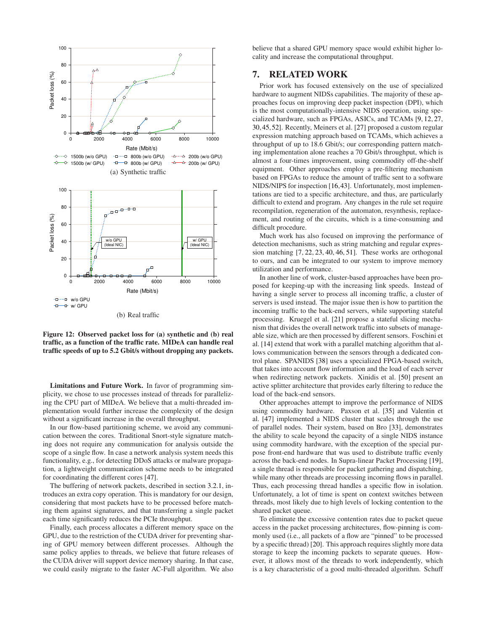<span id="page-9-2"></span><span id="page-9-1"></span>

**Figure 12: Observed packet loss for (a) synthetic and (b) real traffic, as a function of the traffic rate. MIDeA can handle real traffic speeds of up to 5.2 Gbit/s without dropping any packets.**

**Limitations and Future Work.** In favor of programming simplicity, we chose to use processes instead of threads for parallelizing the CPU part of MIDeA. We believe that a multi-threaded implementation would further increase the complexity of the design without a significant increase in the overall throughput.

In our flow-based partitioning scheme, we avoid any communication between the cores. Traditional Snort-style signature matching does not require any communication for analysis outside the scope of a single flow. In case a network analysis system needs this functionality, e.g., for detecting DDoS attacks or malware propagation, a lightweight communication scheme needs to be integrated for coordinating the different cores [\[47\]](#page-11-10).

The buffering of network packets, described in section [3.2.1,](#page-3-3) introduces an extra copy operation. This is mandatory for our design, considering that most packets have to be processed before matching them against signatures, and that transferring a single packet each time significantly reduces the PCIe throughput.

Finally, each process allocates a different memory space on the GPU, due to the restriction of the CUDA driver for preventing sharing of GPU memory between different processes. Although the same policy applies to threads, we believe that future releases of the CUDA driver will support device memory sharing. In that case, we could easily migrate to the faster AC-Full algorithm. We also

believe that a shared GPU memory space would exhibit higher locality and increase the computational throughput.

# <span id="page-9-0"></span>**7. RELATED WORK**

Prior work has focused extensively on the use of specialized hardware to augment NIDSs capabilities. The majority of these approaches focus on improving deep packet inspection (DPI), which is the most computationally-intensive NIDS operation, using specialized hardware, such as FPGAs, ASICs, and TCAMs [\[9,](#page-10-2) [12,](#page-10-18) [27,](#page-11-5) [30,](#page-11-20)[45,](#page-11-7)[52\]](#page-11-21). Recently, Meiners et al. [\[27\]](#page-11-5) proposed a custom regular expression matching approach based on TCAMs, which achieves a throughput of up to 18.6 Gbit/s; our corresponding pattern matching implementation alone reaches a 70 Gbit/s throughput, which is almost a four-times improvement, using commodity off-the-shelf equipment. Other approaches employ a pre-filtering mechanism based on FPGAs to reduce the amount of traffic sent to a software NIDS/NIPS for inspection [\[16](#page-10-19)[,43\]](#page-11-22). Unfortunately, most implementations are tied to a specific architecture, and thus, are particularly difficult to extend and program. Any changes in the rule set require recompilation, regeneration of the automaton, resynthesis, replacement, and routing of the circuits, which is a time-consuming and difficult procedure.

Much work has also focused on improving the performance of detection mechanisms, such as string matching and regular expression matching [\[7,](#page-10-20) [22,](#page-11-23) [23,](#page-11-24) [40,](#page-11-25) [46,](#page-11-26) [51\]](#page-11-27). These works are orthogonal to ours, and can be integrated to our system to improve memory utilization and performance.

In another line of work, cluster-based approaches have been proposed for keeping-up with the increasing link speeds. Instead of having a single server to process all incoming traffic, a cluster of servers is used instead. The major issue then is how to partition the incoming traffic to the back-end servers, while supporting stateful processing. Kruegel et al. [\[21\]](#page-10-7) propose a stateful slicing mechanism that divides the overall network traffic into subsets of manageable size, which are then processed by different sensors. Foschini et al. [\[14\]](#page-10-21) extend that work with a parallel matching algorithm that allows communication between the sensors through a dedicated control plane. SPANIDS [\[38\]](#page-11-28) uses a specialized FPGA-based switch, that takes into account flow information and the load of each server when redirecting network packets. Xinidis et al. [\[50\]](#page-11-29) present an active splitter architecture that provides early filtering to reduce the load of the back-end sensors.

Other approaches attempt to improve the performance of NIDS using commodity hardware. Paxson et al. [\[35\]](#page-11-30) and Valentin et al. [\[47\]](#page-11-10) implemented a NIDS cluster that scales through the use of parallel nodes. Their system, based on Bro [\[33\]](#page-11-1), demonstrates the ability to scale beyond the capacity of a single NIDS instance using commodity hardware, with the exception of the special purpose front-end hardware that was used to distribute traffic evenly across the back-end nodes. In Supra-linear Packet Processing [\[19\]](#page-10-4), a single thread is responsible for packet gathering and dispatching, while many other threads are processing incoming flows in parallel. Thus, each processing thread handles a specific flow in isolation. Unfortunately, a lot of time is spent on context switches between threads, most likely due to high levels of locking contention to the shared packet queue.

To eliminate the excessive contention rates due to packet queue access in the packet processing architectures, flow-pinning is commonly used (i.e., all packets of a flow are "pinned" to be processed by a specific thread) [\[20\]](#page-10-5). This approach requires slightly more data storage to keep the incoming packets to separate queues. However, it allows most of the threads to work independently, which is a key characteristic of a good multi-threaded algorithm. Schuff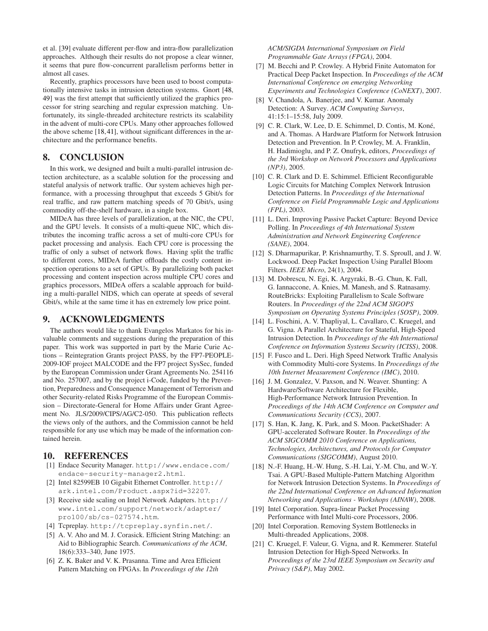et al. [\[39\]](#page-11-9) evaluate different per-flow and intra-flow parallelization approaches. Although their results do not propose a clear winner, it seems that pure flow-concurrent parallelism performs better in almost all cases.

Recently, graphics processors have been used to boost computationally intensive tasks in intrusion detection systems. Gnort [\[48,](#page-11-12) [49\]](#page-11-13) was the first attempt that sufficiently utilized the graphics processor for string searching and regular expression matching. Unfortunately, its single-threaded architecture restricts its scalability in the advent of multi-core CPUs. Many other approaches followed the above scheme [\[18,](#page-10-6)[41\]](#page-11-11), without significant differences in the architecture and the performance benefits.

# <span id="page-10-8"></span>**8. CONCLUSION**

In this work, we designed and built a multi-parallel intrusion detection architecture, as a scalable solution for the processing and stateful analysis of network traffic. Our system achieves high performance, with a processing throughput that exceeds 5 Gbit/s for real traffic, and raw pattern matching speeds of 70 Gbit/s, using commodity off-the-shelf hardware, in a single box.

MIDeA has three levels of parallelization, at the NIC, the CPU, and the GPU levels. It consists of a multi-queue NIC, which distributes the incoming traffic across a set of multi-core CPUs for packet processing and analysis. Each CPU core is processing the traffic of only a subset of network flows. Having split the traffic to different cores, MIDeA further offloads the costly content inspection operations to a set of GPUs. By parallelizing both packet processing and content inspection across multiple CPU cores and graphics processors, MIDeA offers a scalable approach for building a multi-parallel NIDS, which can operate at speeds of several Gbit/s, while at the same time it has en extremely low price point.

## **9. ACKNOWLEDGMENTS**

The authors would like to thank Evangelos Markatos for his invaluable comments and suggestions during the preparation of this paper. This work was supported in part by the Marie Curie Actions – Reintegration Grants project PASS, by the FP7-PEOPLE-2009-IOF project MALCODE and the FP7 project SysSec, funded by the European Commission under Grant Agreements No. 254116 and No. 257007, and by the project i-Code, funded by the Prevention, Preparedness and Consequence Management of Terrorism and other Security-related Risks Programme of the European Commission – Directorate-General for Home Affairs under Grant Agreement No. JLS/2009/CIPS/AG/C2-050. This publication reflects the views only of the authors, and the Commission cannot be held responsible for any use which may be made of the information contained herein.

#### <span id="page-10-9"></span>**10. REFERENCES**

- [1] Endace Security Manager. [http://www.endace.com/](http://www.endace.com/endace-security-manager2.html) [endace-security-manager2.html](http://www.endace.com/endace-security-manager2.html).
- <span id="page-10-11"></span>[2] Intel 82599EB 10 Gigabit Ethernet Controller. [http://](http://ark.intel.com/Product.aspx?id=32207) [ark.intel.com/Product.aspx?id=32207](http://ark.intel.com/Product.aspx?id=32207).
- <span id="page-10-10"></span>[3] Receive side scaling on Intel Network Adapters. [http://](http://www.intel.com/support/network/adapter/pro100/sb/cs-027574.htm) [www.intel.com/support/network/adapter/](http://www.intel.com/support/network/adapter/pro100/sb/cs-027574.htm) [pro100/sb/cs-027574.htm](http://www.intel.com/support/network/adapter/pro100/sb/cs-027574.htm).
- <span id="page-10-16"></span><span id="page-10-14"></span>[4] Tcpreplay. <http://tcpreplay.synfin.net/>.
- [5] A. V. Aho and M. J. Corasick. Efficient String Matching: an Aid to Bibliographic Search. *Communications of the ACM*, 18(6):333–340, June 1975.
- <span id="page-10-1"></span>[6] Z. K. Baker and V. K. Prasanna. Time and Area Efficient Pattern Matching on FPGAs. In *Proceedings of the 12th*

*ACM/SIGDA International Symposium on Field Programmable Gate Arrays (FPGA)*, 2004.

- <span id="page-10-20"></span>[7] M. Becchi and P. Crowley. A Hybrid Finite Automaton for Practical Deep Packet Inspection. In *Proceedings of the ACM International Conference on emerging Networking Experiments and Technologies Conference (CoNEXT)*, 2007.
- <span id="page-10-0"></span>[8] V. Chandola, A. Banerjee, and V. Kumar. Anomaly Detection: A Survey. *ACM Computing Surveys*, 41:15:1–15:58, July 2009.
- <span id="page-10-2"></span>[9] C. R. Clark, W. Lee, D. E. Schimmel, D. Contis, M. Koné, and A. Thomas. A Hardware Platform for Network Intrusion Detection and Prevention. In P. Crowley, M. A. Franklin, H. Hadimioglu, and P. Z. Onufryk, editors, *Proceedings of the 3rd Workshop on Network Processors and Applications (NP3)*, 2005.
- <span id="page-10-3"></span>[10] C. R. Clark and D. E. Schimmel. Efficient Reconfigurable Logic Circuits for Matching Complex Network Intrusion Detection Patterns. In *Proceedings of the International Conference on Field Programmable Logic and Applications (FPL)*, 2003.
- <span id="page-10-12"></span>[11] L. Deri. Improving Passive Packet Capture: Beyond Device Polling. In *Proceedings of 4th International System Administration and Network Engineering Conference (SANE)*, 2004.
- <span id="page-10-18"></span>[12] S. Dharmapurikar, P. Krishnamurthy, T. S. Sproull, and J. W. Lockwood. Deep Packet Inspection Using Parallel Bloom Filters. *IEEE Micro*, 24(1), 2004.
- <span id="page-10-15"></span>[13] M. Dobrescu, N. Egi, K. Argyraki, B.-G. Chun, K. Fall, G. Iannaccone, A. Knies, M. Manesh, and S. Ratnasamy. RouteBricks: Exploiting Parallelism to Scale Software Routers. In *Proceedings of the 22nd ACM SIGOPS Symposium on Operating Systems Principles (SOSP)*, 2009.
- <span id="page-10-21"></span>[14] L. Foschini, A. V. Thapliyal, L. Cavallaro, C. Kruegel, and G. Vigna. A Parallel Architecture for Stateful, High-Speed Intrusion Detection. In *Proceedings of the 4th International Conference on Information Systems Security (ICISS)*, 2008.
- <span id="page-10-13"></span>[15] F. Fusco and L. Deri. High Speed Network Traffic Analysis with Commodity Multi-core Systems. In *Proceedings of the 10th Internet Measurement Conference (IMC)*, 2010.
- <span id="page-10-19"></span>[16] J. M. Gonzalez, V. Paxson, and N. Weaver. Shunting: A Hardware/Software Architecture for Flexible, High-Performance Network Intrusion Prevention. In *Proceedings of the 14th ACM Conference on Computer and Communications Security (CCS)*, 2007.
- <span id="page-10-17"></span>[17] S. Han, K. Jang, K. Park, and S. Moon. PacketShader: A GPU-accelerated Software Router. In *Proceedings of the ACM SIGCOMM 2010 Conference on Applications, Technologies, Architectures, and Protocols for Computer Communications (SIGCOMM)*, August 2010.
- <span id="page-10-6"></span>[18] N.-F. Huang, H.-W. Hung, S.-H. Lai, Y.-M. Chu, and W.-Y. Tsai. A GPU-Based Multiple-Pattern Matching Algorithm for Network Intrusion Detection Systems. In *Proceedings of the 22nd International Conference on Advanced Information Networking and Applications - Workshops (AINAW)*, 2008.
- <span id="page-10-4"></span>[19] Intel Corporation. Supra-linear Packet Processing Performance with Intel Multi-core Processors, 2006.
- <span id="page-10-5"></span>[20] Intel Corporation. Removing System Bottlenecks in Multi-threaded Applications, 2008.
- <span id="page-10-7"></span>[21] C. Kruegel, F. Valeur, G. Vigna, and R. Kemmerer. Stateful Intrusion Detection for High-Speed Networks. In *Proceedings of the 23rd IEEE Symposium on Security and Privacy (S&P)*, May 2002.